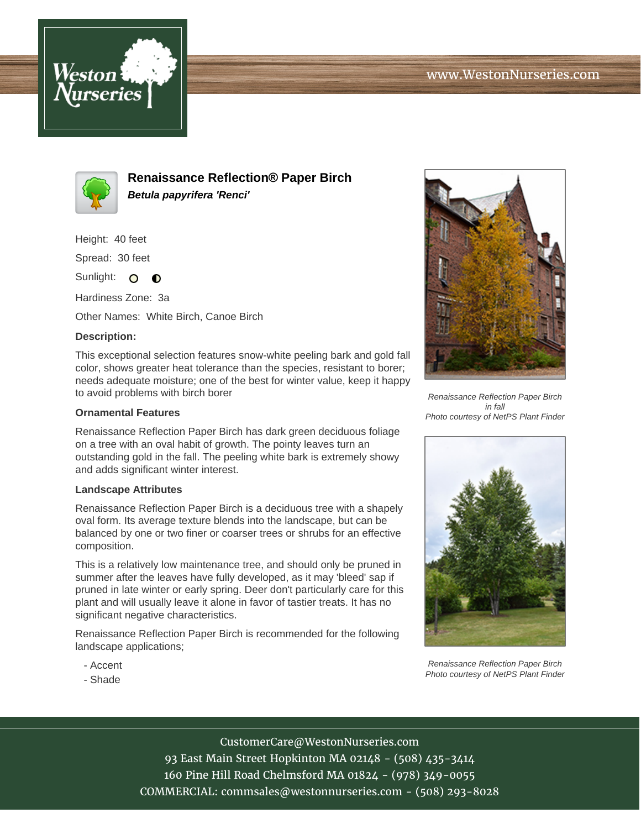



**Renaissance Reflection® Paper Birch Betula papyrifera 'Renci'**

Height: 40 feet

Spread: 30 feet

Sunlight: O **O** 

Hardiness Zone: 3a

Other Names: White Birch, Canoe Birch

## **Description:**

This exceptional selection features snow-white peeling bark and gold fall color, shows greater heat tolerance than the species, resistant to borer; needs adequate moisture; one of the best for winter value, keep it happy to avoid problems with birch borer

## **Ornamental Features**

Renaissance Reflection Paper Birch has dark green deciduous foliage on a tree with an oval habit of growth. The pointy leaves turn an outstanding gold in the fall. The peeling white bark is extremely showy and adds significant winter interest.

## **Landscape Attributes**

Renaissance Reflection Paper Birch is a deciduous tree with a shapely oval form. Its average texture blends into the landscape, but can be balanced by one or two finer or coarser trees or shrubs for an effective composition.

This is a relatively low maintenance tree, and should only be pruned in summer after the leaves have fully developed, as it may 'bleed' sap if pruned in late winter or early spring. Deer don't particularly care for this plant and will usually leave it alone in favor of tastier treats. It has no significant negative characteristics.

Renaissance Reflection Paper Birch is recommended for the following landscape applications;

- Accent
- Shade



Renaissance Reflection Paper Birch in fall Photo courtesy of NetPS Plant Finder



Renaissance Reflection Paper Birch Photo courtesy of NetPS Plant Finder

CustomerCare@WestonNurseries.com 93 East Main Street Hopkinton MA 02148 - (508) 435-3414 160 Pine Hill Road Chelmsford MA 01824 - (978) 349-0055 COMMERCIAL: commsales@westonnurseries.com - (508) 293-8028